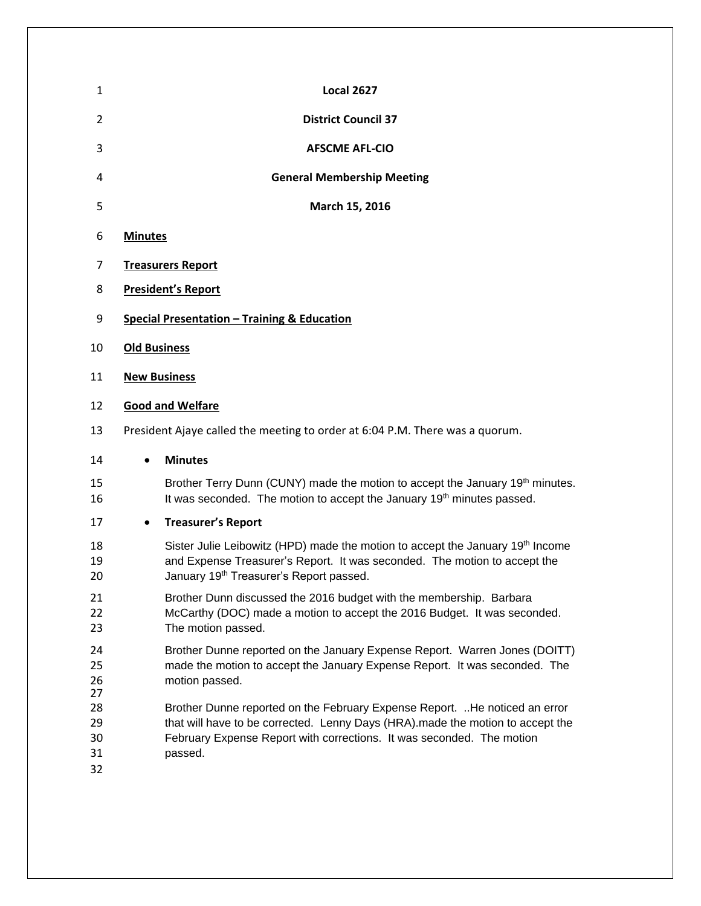| <b>Local 2627</b>                                                                                                                                                                                                                                  |  |  |  |
|----------------------------------------------------------------------------------------------------------------------------------------------------------------------------------------------------------------------------------------------------|--|--|--|
| <b>District Council 37</b><br>$\overline{2}$                                                                                                                                                                                                       |  |  |  |
| 3<br><b>AFSCME AFL-CIO</b>                                                                                                                                                                                                                         |  |  |  |
| <b>General Membership Meeting</b><br>4                                                                                                                                                                                                             |  |  |  |
| March 15, 2016                                                                                                                                                                                                                                     |  |  |  |
| <b>Minutes</b>                                                                                                                                                                                                                                     |  |  |  |
| <b>Treasurers Report</b>                                                                                                                                                                                                                           |  |  |  |
| 8<br><b>President's Report</b>                                                                                                                                                                                                                     |  |  |  |
| 9<br>Special Presentation - Training & Education                                                                                                                                                                                                   |  |  |  |
| <b>Old Business</b><br>10                                                                                                                                                                                                                          |  |  |  |
| <b>New Business</b><br>11                                                                                                                                                                                                                          |  |  |  |
| <b>Good and Welfare</b><br>12                                                                                                                                                                                                                      |  |  |  |
| President Ajaye called the meeting to order at 6:04 P.M. There was a quorum.                                                                                                                                                                       |  |  |  |
| <b>Minutes</b>                                                                                                                                                                                                                                     |  |  |  |
| Brother Terry Dunn (CUNY) made the motion to accept the January 19th minutes.<br>It was seconded. The motion to accept the January 19 <sup>th</sup> minutes passed.                                                                                |  |  |  |
| <b>Treasurer's Report</b><br>$\bullet$                                                                                                                                                                                                             |  |  |  |
| Sister Julie Leibowitz (HPD) made the motion to accept the January 19th Income<br>and Expense Treasurer's Report. It was seconded. The motion to accept the<br>January 19 <sup>th</sup> Treasurer's Report passed.                                 |  |  |  |
| Brother Dunn discussed the 2016 budget with the membership. Barbara<br>McCarthy (DOC) made a motion to accept the 2016 Budget. It was seconded.<br>The motion passed.                                                                              |  |  |  |
| Brother Dunne reported on the January Expense Report. Warren Jones (DOITT)<br>made the motion to accept the January Expense Report. It was seconded. The<br>motion passed.                                                                         |  |  |  |
| Brother Dunne reported on the February Expense Report.  He noticed an error<br>that will have to be corrected. Lenny Days (HRA). made the motion to accept the<br>February Expense Report with corrections. It was seconded. The motion<br>passed. |  |  |  |
|                                                                                                                                                                                                                                                    |  |  |  |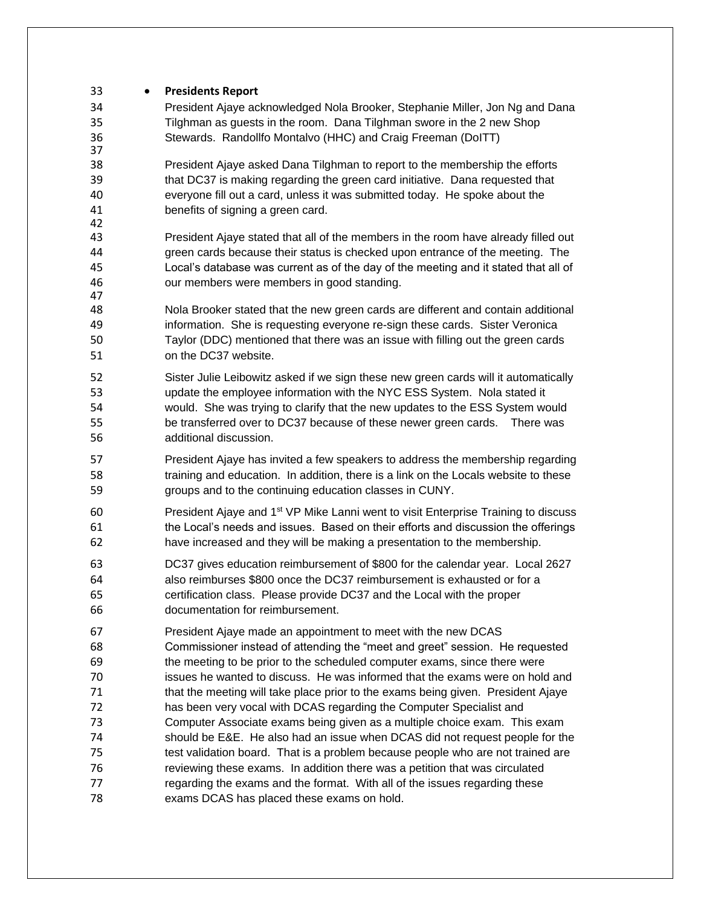# **Presidents Report**

- President Ajaye acknowledged Nola Brooker, Stephanie Miller, Jon Ng and Dana Tilghman as guests in the room. Dana Tilghman swore in the 2 new Shop Stewards. Randollfo Montalvo (HHC) and Craig Freeman (DoITT)
- President Ajaye asked Dana Tilghman to report to the membership the efforts that DC37 is making regarding the green card initiative. Dana requested that everyone fill out a card, unless it was submitted today. He spoke about the benefits of signing a green card.
- President Ajaye stated that all of the members in the room have already filled out green cards because their status is checked upon entrance of the meeting. The Local's database was current as of the day of the meeting and it stated that all of our members were members in good standing.
- Nola Brooker stated that the new green cards are different and contain additional information. She is requesting everyone re-sign these cards. Sister Veronica Taylor (DDC) mentioned that there was an issue with filling out the green cards on the DC37 website.
- Sister Julie Leibowitz asked if we sign these new green cards will it automatically update the employee information with the NYC ESS System. Nola stated it would. She was trying to clarify that the new updates to the ESS System would be transferred over to DC37 because of these newer green cards. There was additional discussion.
- President Ajaye has invited a few speakers to address the membership regarding training and education. In addition, there is a link on the Locals website to these groups and to the continuing education classes in CUNY.
- 60 President Ajaye and  $1^{st}$  VP Mike Lanni went to visit Enterprise Training to discuss the Local's needs and issues. Based on their efforts and discussion the offerings have increased and they will be making a presentation to the membership.
- DC37 gives education reimbursement of \$800 for the calendar year. Local 2627 also reimburses \$800 once the DC37 reimbursement is exhausted or for a certification class. Please provide DC37 and the Local with the proper documentation for reimbursement.
- President Ajaye made an appointment to meet with the new DCAS Commissioner instead of attending the "meet and greet" session. He requested the meeting to be prior to the scheduled computer exams, since there were issues he wanted to discuss. He was informed that the exams were on hold and that the meeting will take place prior to the exams being given. President Ajaye has been very vocal with DCAS regarding the Computer Specialist and Computer Associate exams being given as a multiple choice exam. This exam should be E&E. He also had an issue when DCAS did not request people for the test validation board. That is a problem because people who are not trained are reviewing these exams. In addition there was a petition that was circulated regarding the exams and the format. With all of the issues regarding these exams DCAS has placed these exams on hold.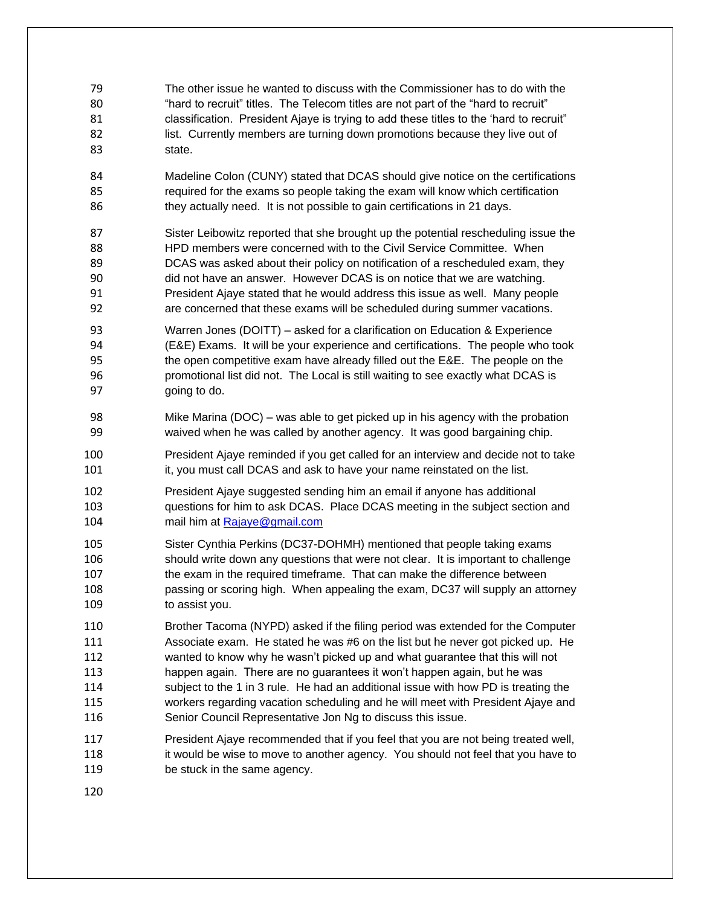- The other issue he wanted to discuss with the Commissioner has to do with the "hard to recruit" titles. The Telecom titles are not part of the "hard to recruit" classification. President Ajaye is trying to add these titles to the 'hard to recruit" 82 list. Currently members are turning down promotions because they live out of state.
- Madeline Colon (CUNY) stated that DCAS should give notice on the certifications required for the exams so people taking the exam will know which certification 86 they actually need. It is not possible to gain certifications in 21 days.
- Sister Leibowitz reported that she brought up the potential rescheduling issue the HPD members were concerned with to the Civil Service Committee. When DCAS was asked about their policy on notification of a rescheduled exam, they did not have an answer. However DCAS is on notice that we are watching. President Ajaye stated that he would address this issue as well. Many people are concerned that these exams will be scheduled during summer vacations.
- Warren Jones (DOITT) asked for a clarification on Education & Experience (E&E) Exams. It will be your experience and certifications. The people who took the open competitive exam have already filled out the E&E. The people on the promotional list did not. The Local is still waiting to see exactly what DCAS is going to do.
- Mike Marina (DOC) was able to get picked up in his agency with the probation waived when he was called by another agency. It was good bargaining chip.
- President Ajaye reminded if you get called for an interview and decide not to take 101 it, you must call DCAS and ask to have your name reinstated on the list.
- President Ajaye suggested sending him an email if anyone has additional questions for him to ask DCAS. Place DCAS meeting in the subject section and 104 mail him at Rajaye@gmail.com
- Sister Cynthia Perkins (DC37-DOHMH) mentioned that people taking exams should write down any questions that were not clear. It is important to challenge the exam in the required timeframe. That can make the difference between passing or scoring high. When appealing the exam, DC37 will supply an attorney to assist you.
- Brother Tacoma (NYPD) asked if the filing period was extended for the Computer Associate exam. He stated he was #6 on the list but he never got picked up. He wanted to know why he wasn't picked up and what guarantee that this will not happen again. There are no guarantees it won't happen again, but he was subject to the 1 in 3 rule. He had an additional issue with how PD is treating the workers regarding vacation scheduling and he will meet with President Ajaye and Senior Council Representative Jon Ng to discuss this issue.
- President Ajaye recommended that if you feel that you are not being treated well, it would be wise to move to another agency. You should not feel that you have to be stuck in the same agency.
-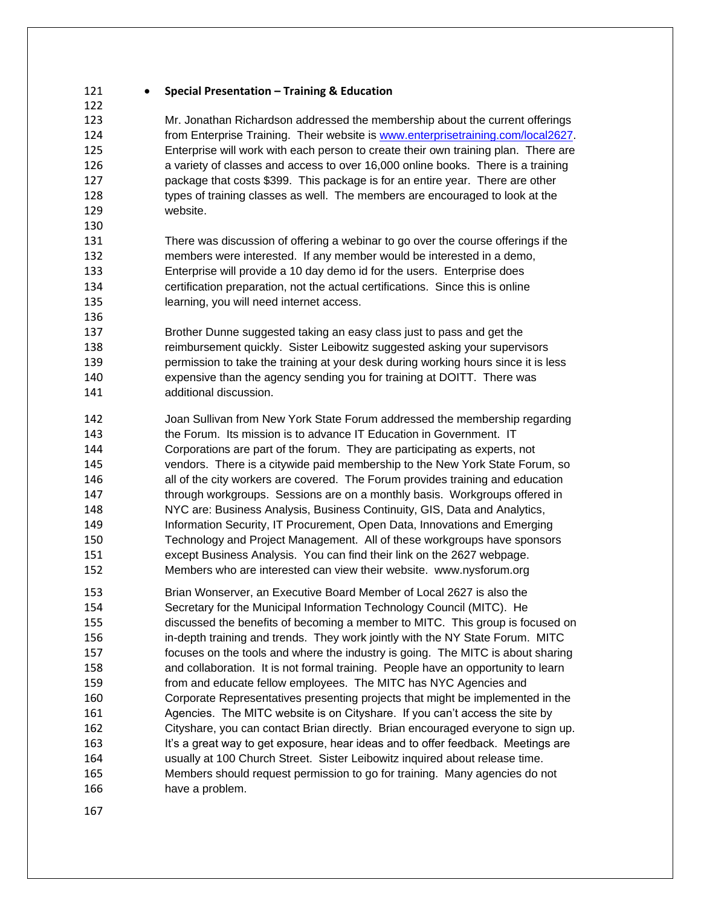# **Special Presentation – Training & Education**

 Mr. Jonathan Richardson addressed the membership about the current offerings from Enterprise Training. Their website is [www.enterprisetraining.com/local2627.](http://www.enterprisetraining.com/local2627) Enterprise will work with each person to create their own training plan. There are a variety of classes and access to over 16,000 online books. There is a training package that costs \$399. This package is for an entire year. There are other types of training classes as well. The members are encouraged to look at the website.

 There was discussion of offering a webinar to go over the course offerings if the members were interested. If any member would be interested in a demo, Enterprise will provide a 10 day demo id for the users. Enterprise does certification preparation, not the actual certifications. Since this is online learning, you will need internet access.

 Brother Dunne suggested taking an easy class just to pass and get the reimbursement quickly. Sister Leibowitz suggested asking your supervisors permission to take the training at your desk during working hours since it is less expensive than the agency sending you for training at DOITT. There was additional discussion.

 Joan Sullivan from New York State Forum addressed the membership regarding the Forum. Its mission is to advance IT Education in Government. IT

Corporations are part of the forum. They are participating as experts, not

 vendors. There is a citywide paid membership to the New York State Forum, so all of the city workers are covered. The Forum provides training and education

 through workgroups. Sessions are on a monthly basis. Workgroups offered in NYC are: Business Analysis, Business Continuity, GIS, Data and Analytics, Information Security, IT Procurement, Open Data, Innovations and Emerging Technology and Project Management. All of these workgroups have sponsors except Business Analysis. You can find their link on the 2627 webpage.

 Members who are interested can view their website. www.nysforum.org Brian Wonserver, an Executive Board Member of Local 2627 is also the

 Secretary for the Municipal Information Technology Council (MITC). He discussed the benefits of becoming a member to MITC. This group is focused on in-depth training and trends. They work jointly with the NY State Forum. MITC focuses on the tools and where the industry is going. The MITC is about sharing and collaboration. It is not formal training. People have an opportunity to learn from and educate fellow employees. The MITC has NYC Agencies and Corporate Representatives presenting projects that might be implemented in the Agencies. The MITC website is on Cityshare. If you can't access the site by Cityshare, you can contact Brian directly. Brian encouraged everyone to sign up. It's a great way to get exposure, hear ideas and to offer feedback. Meetings are usually at 100 Church Street. Sister Leibowitz inquired about release time. Members should request permission to go for training. Many agencies do not have a problem.